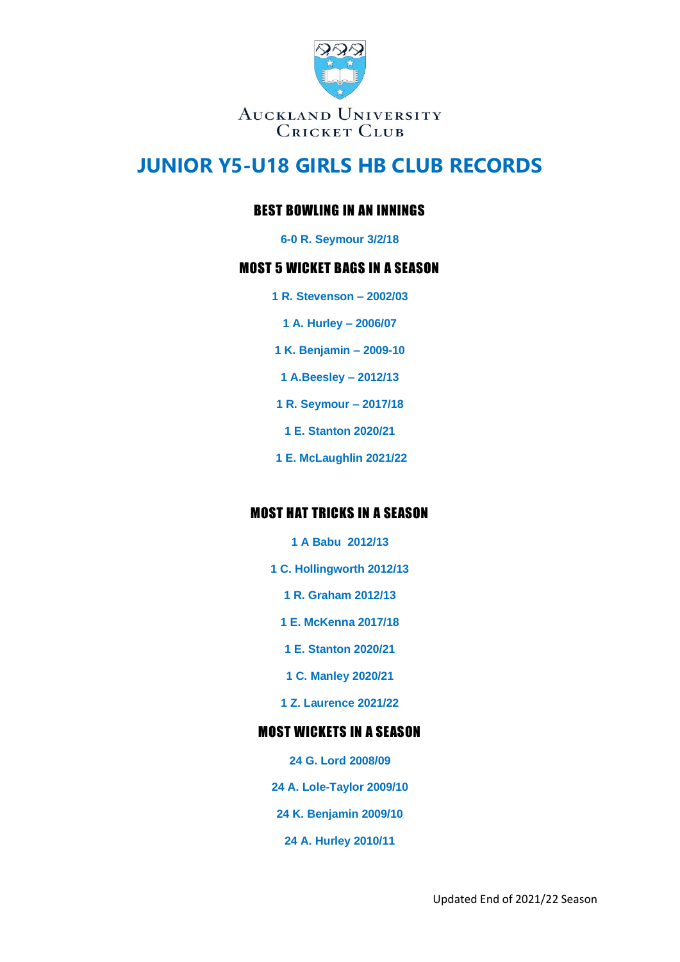

### BEST BOWLING IN AN INNINGS

**6-0 R. Seymour 3/2/18**

#### MOST 5 WICKET BAGS IN A SEASON

- **1 R. Stevenson – 2002/03**
	- **1 A. Hurley – 2006/07**
- **1 K. Benjamin – 2009-10**
- **1 A.Beesley – 2012/13**
- **1 R. Seymour – 2017/18**
- **1 E. Stanton 2020/21**
- **1 E. McLaughlin 2021/22**

### MOST HAT TRICKS IN A SEASON

- **1 A Babu 2012/13**
- **1 C. Hollingworth 2012/13**
	- **1 R. Graham 2012/13**
	- **1 E. McKenna 2017/18**
	- **1 E. Stanton 2020/21**
	- **1 C. Manley 2020/21**
	- **1 Z. Laurence 2021/22**

### MOST WICKETS IN A SEASON

- **24 G. Lord 2008/09**
- **24 A. Lole-Taylor 2009/10**
- **24 K. Benjamin 2009/10**
	- **24 A. Hurley 2010/11**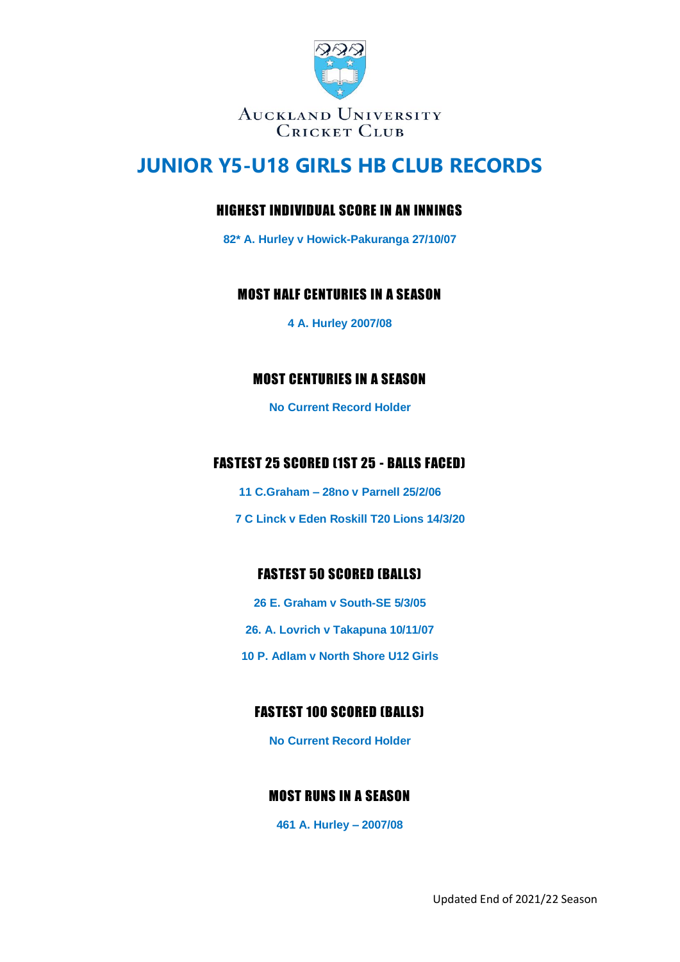

## HIGHEST INDIVIDUAL SCORE IN AN INNINGS

**82\* A. Hurley v Howick-Pakuranga 27/10/07**

### MOST HALF CENTURIES IN A SEASON

**4 A. Hurley 2007/08**

## MOST CENTURIES IN A SEASON

**No Current Record Holder**

# FASTEST 25 SCORED (1ST 25 - BALLS FACED)

- **11 C.Graham – 28no v Parnell 25/2/06**
- **7 C Linck v Eden Roskill T20 Lions 14/3/20**

## FASTEST 50 SCORED (BALLS)

**26 E. Graham v South-SE 5/3/05 26. A. Lovrich v Takapuna 10/11/07 10 P. Adlam v North Shore U12 Girls**

# FASTEST 100 SCORED (BALLS)

**No Current Record Holder**

## MOST RUNS IN A SEASON

**461 A. Hurley – 2007/08**

Updated End of 2021/22 Season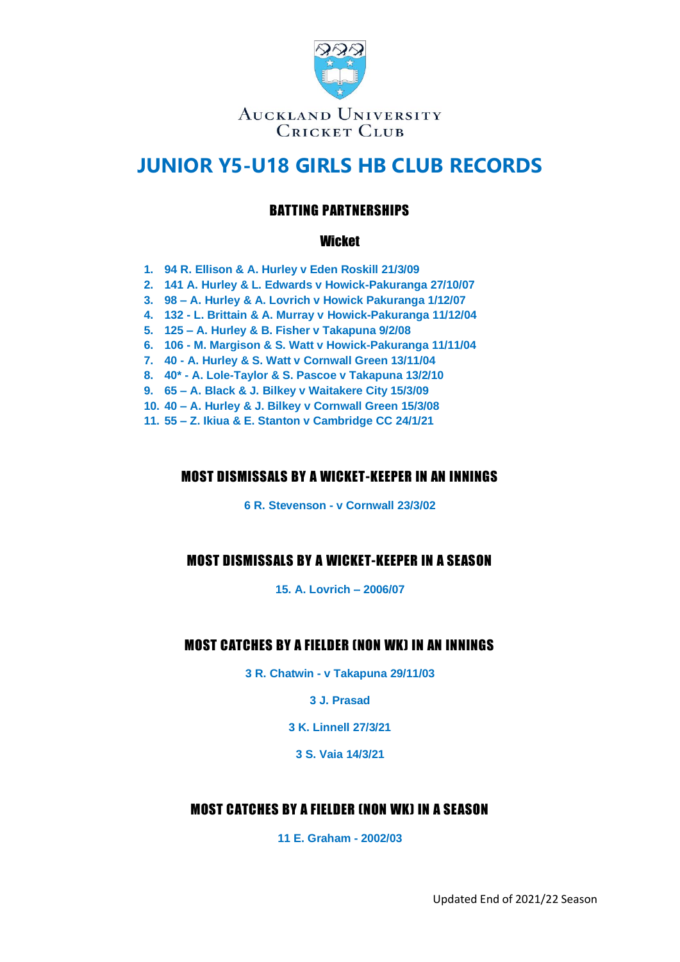

## BATTING PARTNERSHIPS

#### Wicket

- **1. 94 R. Ellison & A. Hurley v Eden Roskill 21/3/09**
- **2. 141 A. Hurley & L. Edwards v Howick-Pakuranga 27/10/07**
- **3. 98 – A. Hurley & A. Lovrich v Howick Pakuranga 1/12/07**
- **4. 132 - L. Brittain & A. Murray v Howick-Pakuranga 11/12/04**
- **5. 125 – A. Hurley & B. Fisher v Takapuna 9/2/08**
- **6. 106 - M. Margison & S. Watt v Howick-Pakuranga 11/11/04**
- **7. 40 - A. Hurley & S. Watt v Cornwall Green 13/11/04**
- **8. 40\* - A. Lole-Taylor & S. Pascoe v Takapuna 13/2/10**
- **9. 65 – A. Black & J. Bilkey v Waitakere City 15/3/09**
- **10. 40 – A. Hurley & J. Bilkey v Cornwall Green 15/3/08**
- **11. 55 – Z. Ikiua & E. Stanton v Cambridge CC 24/1/21**

#### MOST DISMISSALS BY A WICKET-KEEPER IN AN INNINGS

**6 R. Stevenson - v Cornwall 23/3/02**

## MOST DISMISSALS BY A WICKET-KEEPER IN A SEASON

**15. A. Lovrich – 2006/07**

### MOST CATCHES BY A FIELDER (NON WK) IN AN INNINGS

**3 R. Chatwin - v Takapuna 29/11/03**

**3 J. Prasad**

**3 K. Linnell 27/3/21**

**3 S. Vaia 14/3/21**

### MOST CATCHES BY A FIELDER (NON WK) IN A SEASON

**11 E. Graham - 2002/03**

Updated End of 2021/22 Season